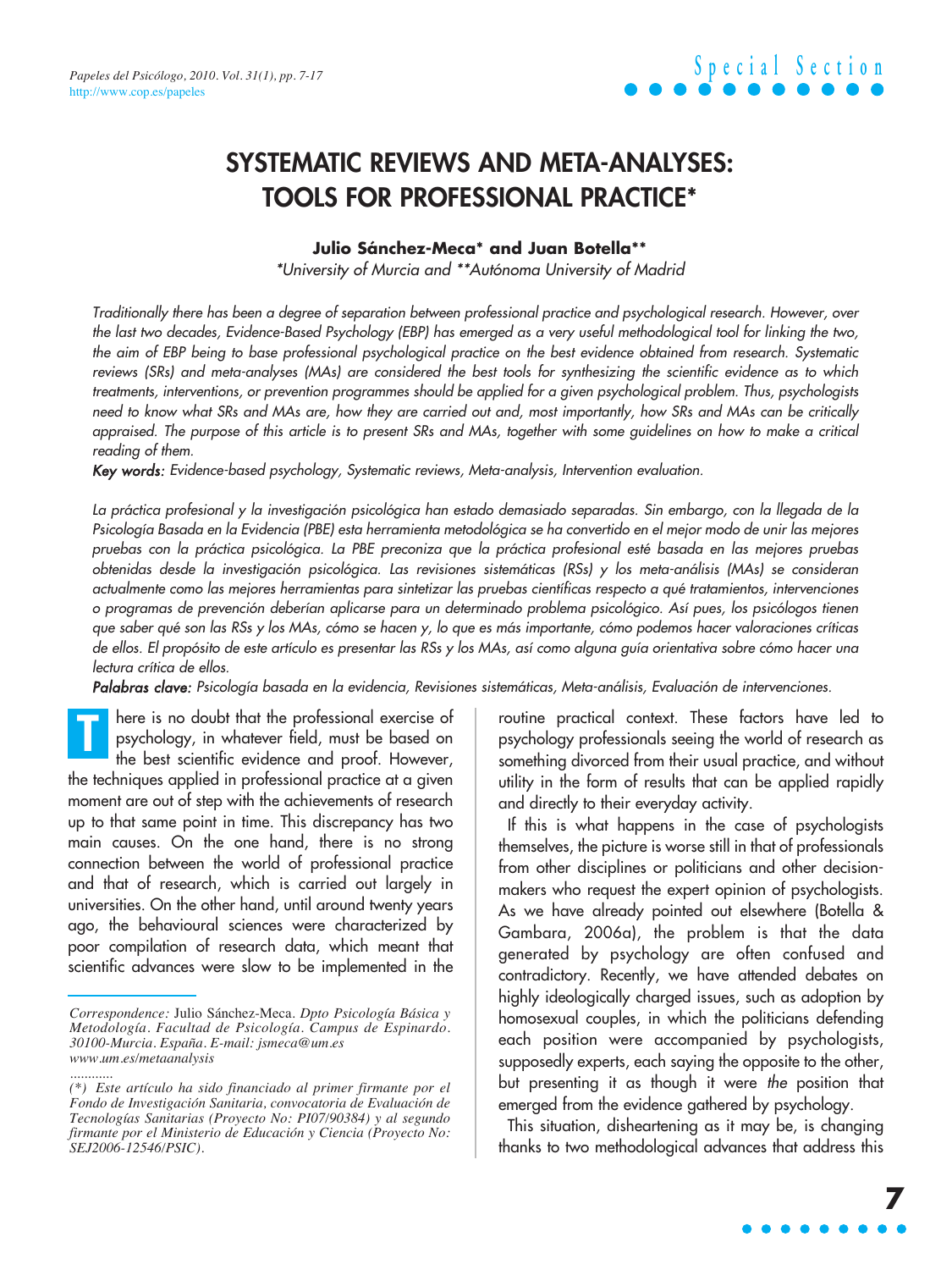### **SYSTEMATIC REVIEWS AND META-ANALYSES: TOOLS FOR PROFESSIONAL PRACTICE\***

#### **Julio Sánchez-Meca\* and Juan Botella\*\***

\*University of Murcia and \*\*Autónoma University of Madrid

Traditionally there has been a degree of separation between professional practice and psychological research. However, over the last two decades, Evidence-Based Psychology (EBP) has emerged as a very useful methodological tool for linking the two, the aim of EBP being to base professional psychological practice on the best evidence obtained from research. Systematic reviews (SRs) and meta-analyses (MAs) are considered the best tools for synthesizing the scientific evidence as to which treatments, interventions, or prevention programmes should be applied for a given psychological problem. Thus, psychologists need to know what SRs and MAs are, how they are carried out and, most importantly, how SRs and MAs can be critically appraised. The purpose of this article is to present SRs and MAs, together with some guidelines on how to make a critical reading of them.

Key words: Evidence-based psychology, Systematic reviews, Meta-analysis, Intervention evaluation.

La práctica profesional y la investigación psicológica han estado demasiado separadas. Sin embargo, con la llegada de la Psicología Basada en la Evidencia (PBE) esta herramienta metodológica se ha convertido en el mejor modo de unir las mejores pruebas con la práctica psicológica. La PBE preconiza que la práctica profesional esté basada en las mejores pruebas obtenidas desde la investigación psicológica. Las revisiones sistemáticas (RSs) y los meta-análisis (MAs) se consideran actualmente como las mejores herramientas para sintetizar las pruebas científicas respecto a qué tratamientos, intervenciones o programas de prevención deberían aplicarse para un determinado problema psicológico. Así pues, los psicólogos tienen que saber qué son las RSs y los MAs, cómo se hacen y, lo que es más importante, cómo podemos hacer valoraciones críticas de ellos. El propósito de este artículo es presentar las RSs y los MAs, así como alguna guía orientativa sobre cómo hacer una lectura crítica de ellos.

Palabras clave: Psicología basada en la evidencia, Revisiones sistemáticas, Meta-análisis, Evaluación de intervenciones.

here is no doubt that the professional exercise of psychology, in whatever field, must be based on the best scientific evidence and proof. However, the techniques applied in professional practice at a given moment are out of step with the achievements of research up to that same point in time. This discrepancy has two main causes. On the one hand, there is no strong connection between the world of professional practice and that of research, which is carried out largely in universities. On the other hand, until around twenty years ago, the behavioural sciences were characterized by poor compilation of research data, which meant that scientific advances were slow to be implemented in the **T**

routine practical context. These factors have led to psychology professionals seeing the world of research as something divorced from their usual practice, and without utility in the form of results that can be applied rapidly and directly to their everyday activity.

If this is what happens in the case of psychologists themselves, the picture is worse still in that of professionals from other disciplines or politicians and other decisionmakers who request the expert opinion of psychologists. As we have already pointed out elsewhere (Botella & Gambara, 2006a), the problem is that the data generated by psychology are often confused and contradictory. Recently, we have attended debates on highly ideologically charged issues, such as adoption by homosexual couples, in which the politicians defending each position were accompanied by psychologists, supposedly experts, each saying the opposite to the other, but presenting it as though it were the position that emerged from the evidence gathered by psychology.

This situation, disheartening as it may be, is changing thanks to two methodological advances that address this

*Correspondence:* Julio Sánchez-Meca. *Dpto Psicología Básica y Metodología. Facultad de Psicología. Campus de Espinardo. 30100-Murcia. España. E-mail: jsmeca@um.es www.um.es/metaanalysis*

*<sup>............</sup> (\*) Este artículo ha sido financiado al primer firmante por el Fondo de Investigación Sanitaria, convocatoria de Evaluación de Tecnologías Sanitarias (Proyecto No: PI07/90384) y al segundo firmante por el Ministerio de Educación y Ciencia (Proyecto No: SEJ2006-12546/PSIC).*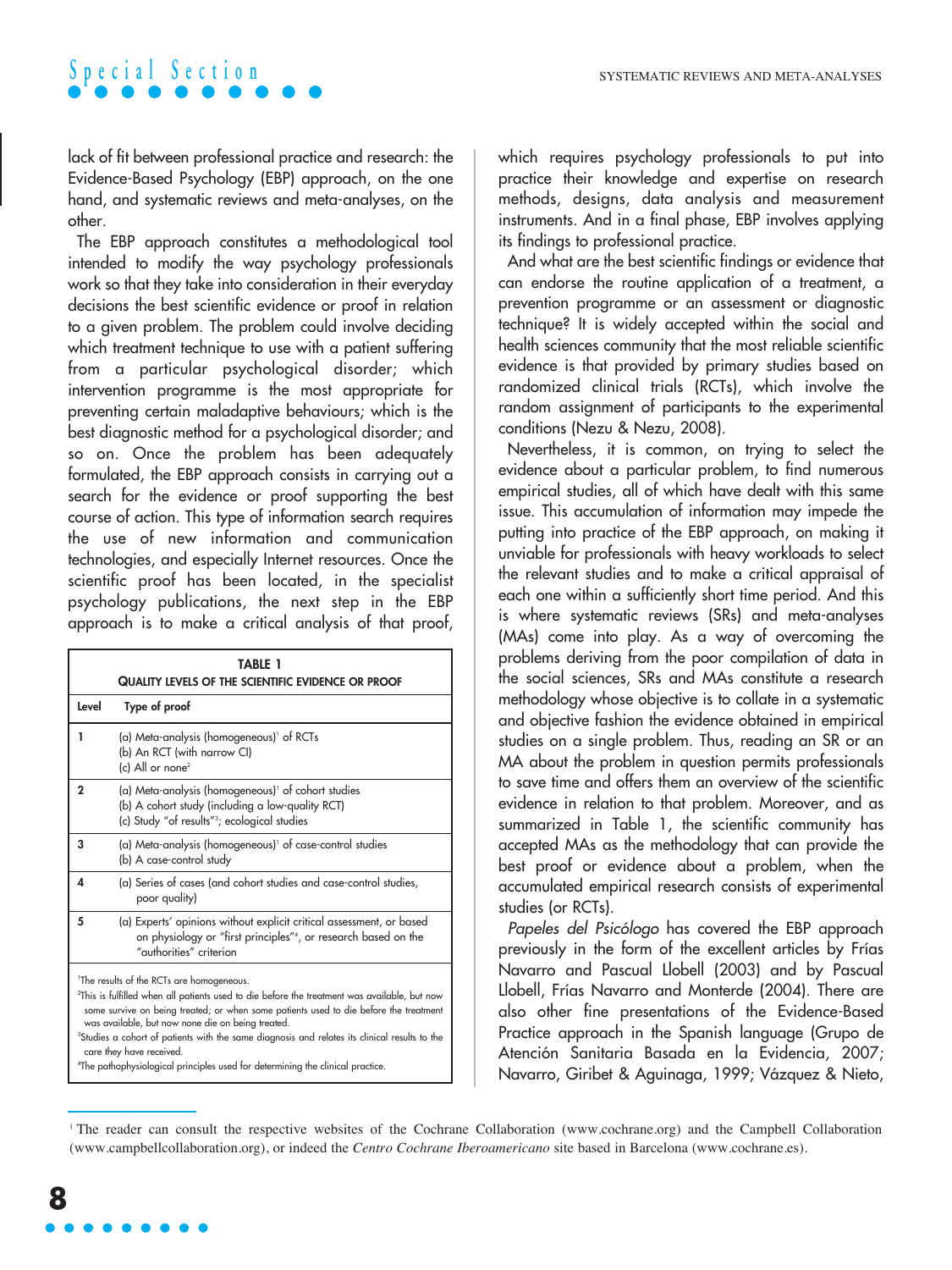lack of fit between professional practice and research: the Evidence-Based Psychology (EBP) approach, on the one hand, and systematic reviews and meta-analyses, on the other.

The EBP approach constitutes a methodological tool intended to modify the way psychology professionals work so that they take into consideration in their everyday decisions the best scientific evidence or proof in relation to a given problem. The problem could involve deciding which treatment technique to use with a patient suffering from a particular psychological disorder; which intervention programme is the most appropriate for preventing certain maladaptive behaviours; which is the best diagnostic method for a psychological disorder; and so on. Once the problem has been adequately formulated, the EBP approach consists in carrying out a search for the evidence or proof supporting the best course of action. This type of information search requires the use of new information and communication technologies, and especially Internet resources. Once the scientific proof has been located, in the specialist psychology publications, the next step in the EBP approach is to make a critical analysis of that proof,

| <b>TABLE 1</b>                                                                                                                                                                                                                                                                                                                                                                                                                                                                                                                                         |                                                                                                                                                                                |  |
|--------------------------------------------------------------------------------------------------------------------------------------------------------------------------------------------------------------------------------------------------------------------------------------------------------------------------------------------------------------------------------------------------------------------------------------------------------------------------------------------------------------------------------------------------------|--------------------------------------------------------------------------------------------------------------------------------------------------------------------------------|--|
| Quality levels of the scientific evidence or proof                                                                                                                                                                                                                                                                                                                                                                                                                                                                                                     |                                                                                                                                                                                |  |
| Level                                                                                                                                                                                                                                                                                                                                                                                                                                                                                                                                                  | Type of proof                                                                                                                                                                  |  |
| ı                                                                                                                                                                                                                                                                                                                                                                                                                                                                                                                                                      | (a) Meta-analysis (homogeneous) of RCTs<br>(b) An RCT (with narrow CI)<br>(c) All or none <sup>2</sup>                                                                         |  |
| $\mathbf{2}$                                                                                                                                                                                                                                                                                                                                                                                                                                                                                                                                           | (a) Meta-analysis (homogeneous) of cohort studies<br>(b) A cohort study (including a low-quality RCT)<br>(c) Study "of results" <sup>3</sup> ; ecological studies              |  |
| 3                                                                                                                                                                                                                                                                                                                                                                                                                                                                                                                                                      | (a) Meta-analysis (homogeneous) <sup>1</sup> of case-control studies<br>(b) A case-control study                                                                               |  |
| Δ                                                                                                                                                                                                                                                                                                                                                                                                                                                                                                                                                      | (a) Series of cases (and cohort studies and case-control studies,<br>poor quality)                                                                                             |  |
| 5                                                                                                                                                                                                                                                                                                                                                                                                                                                                                                                                                      | (a) Experts' opinions without explicit critical assessment, or based<br>on physiology or "first principles" <sup>4</sup> , or research based on the<br>"authorities" criterion |  |
| <sup>1</sup> The results of the RCTs are homogeneous.<br><sup>2</sup> This is fulfilled when all patients used to die before the treatment was available, but now<br>some survive on being treated; or when some patients used to die before the treatment<br>was available, but now none die on being treated.<br><sup>3</sup> Studies a cohort of patients with the same diagnosis and relates its clinical results to the<br>care they have received.<br><sup>4</sup> The pathophysiological principles used for determining the clinical practice. |                                                                                                                                                                                |  |

which requires psychology professionals to put into practice their knowledge and expertise on research methods, designs, data analysis and measurement instruments. And in a final phase, EBP involves applying its findings to professional practice.

And what are the best scientific findings or evidence that can endorse the routine application of a treatment, a prevention programme or an assessment or diagnostic technique? It is widely accepted within the social and health sciences community that the most reliable scientific evidence is that provided by primary studies based on randomized clinical trials (RCTs), which involve the random assignment of participants to the experimental conditions (Nezu & Nezu, 2008).

Nevertheless, it is common, on trying to select the evidence about a particular problem, to find numerous empirical studies, all of which have dealt with this same issue. This accumulation of information may impede the putting into practice of the EBP approach, on making it unviable for professionals with heavy workloads to select the relevant studies and to make a critical appraisal of each one within a sufficiently short time period. And this is where systematic reviews (SRs) and meta-analyses (MAs) come into play. As a way of overcoming the problems deriving from the poor compilation of data in the social sciences, SRs and MAs constitute a research methodology whose objective is to collate in a systematic and objective fashion the evidence obtained in empirical studies on a single problem. Thus, reading an SR or an MA about the problem in question permits professionals to save time and offers them an overview of the scientific evidence in relation to that problem. Moreover, and as summarized in Table 1, the scientific community has accepted MAs as the methodology that can provide the best proof or evidence about a problem, when the accumulated empirical research consists of experimental studies (or RCTs).

Papeles del Psicólogo has covered the EBP approach previously in the form of the excellent articles by Frías Navarro and Pascual Llobell (2003) and by Pascual Llobell, Frías Navarro and Monterde (2004). There are also other fine presentations of the Evidence-Based Practice approach in the Spanish language (Grupo de Atención Sanitaria Basada en la Evidencia, 2007; Navarro, Giribet & Aguinaga, 1999; Vázquez & Nieto,

<sup>1</sup> The reader can consult the respective websites of the Cochrane Collaboration (www.cochrane.org) and the Campbell Collaboration (www.campbellcollaboration.org), or indeed the *Centro Cochrane Iberoamericano* site based in Barcelona (www.cochrane.es).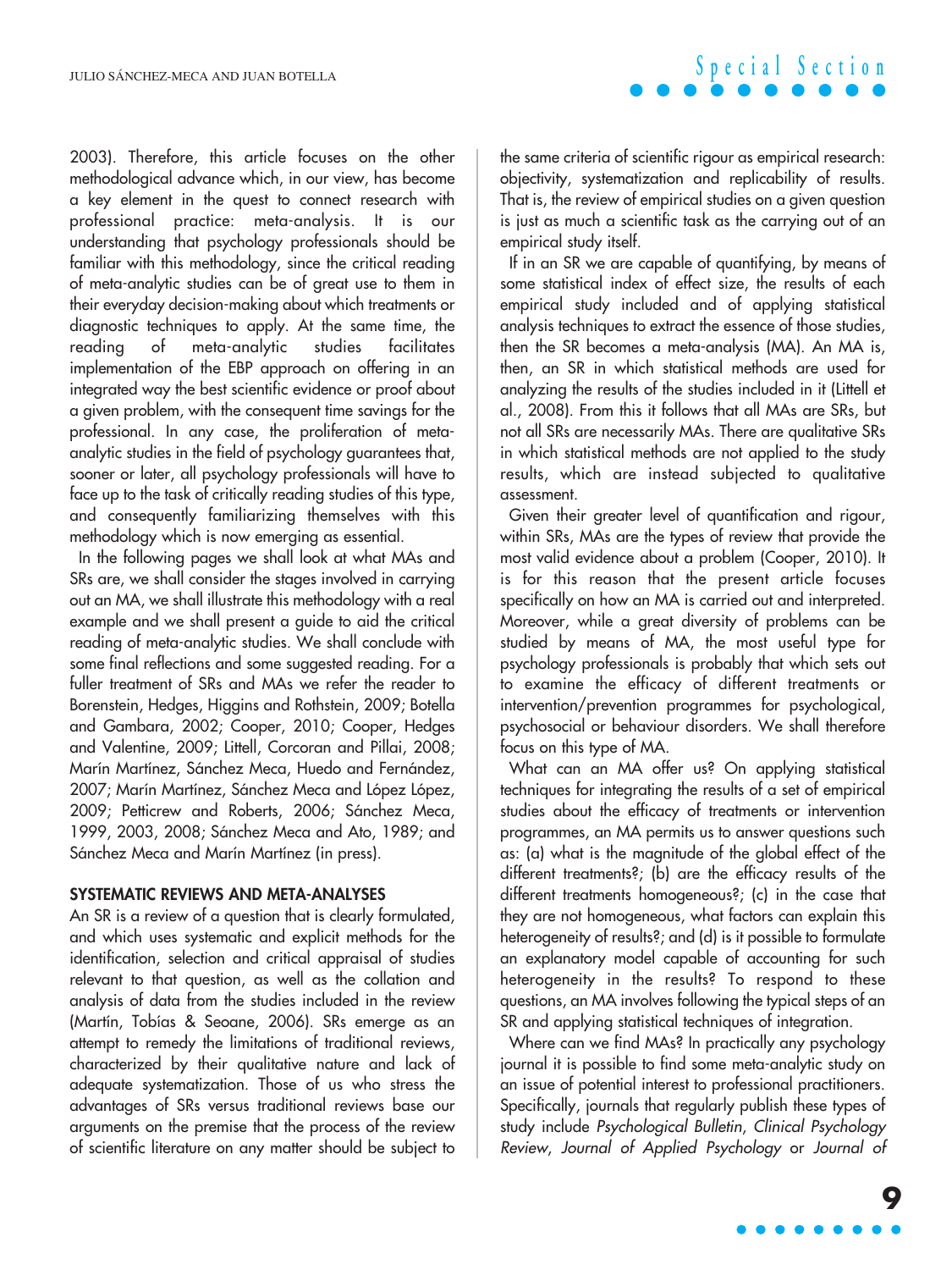2003). Therefore, this article focuses on the other methodological advance which, in our view, has become a key element in the quest to connect research with professional practice: meta-analysis. It is our understanding that psychology professionals should be familiar with this methodology, since the critical reading of meta-analytic studies can be of great use to them in their everyday decision-making about which treatments or diagnostic techniques to apply. At the same time, the reading of meta-analytic studies facilitates implementation of the EBP approach on offering in an integrated way the best scientific evidence or proof about a given problem, with the consequent time savings for the professional. In any case, the proliferation of metaanalytic studies in the field of psychology guarantees that, sooner or later, all psychology professionals will have to face up to the task of critically reading studies of this type, and consequently familiarizing themselves with this methodology which is now emerging as essential.

In the following pages we shall look at what MAs and SRs are, we shall consider the stages involved in carrying out an MA, we shall illustrate this methodology with a real example and we shall present a guide to aid the critical reading of meta-analytic studies. We shall conclude with some final reflections and some suggested reading. For a fuller treatment of SRs and MAs we refer the reader to Borenstein, Hedges, Higgins and Rothstein, 2009; Botella and Gambara, 2002; Cooper, 2010; Cooper, Hedges and Valentine, 2009; Littell, Corcoran and Pillai, 2008; Marín Martínez, Sánchez Meca, Huedo and Fernández, 2007; Marín Martínez, Sánchez Meca and López López, 2009; Petticrew and Roberts, 2006; Sánchez Meca, 1999, 2003, 2008; Sánchez Meca and Ato, 1989; and Sánchez Meca and Marín Martínez (in press).

#### **SYSTEMATIC REVIEWS AND META-ANALYSES**

An SR is a review of a question that is clearly formulated, and which uses systematic and explicit methods for the identification, selection and critical appraisal of studies relevant to that question, as well as the collation and analysis of data from the studies included in the review (Martín, Tobías & Seoane, 2006). SRs emerge as an attempt to remedy the limitations of traditional reviews, characterized by their qualitative nature and lack of adequate systematization. Those of us who stress the advantages of SRs versus traditional reviews base our arguments on the premise that the process of the review of scientific literature on any matter should be subject to

the same criteria of scientific rigour as empirical research: objectivity, systematization and replicability of results. That is, the review of empirical studies on a given question is just as much a scientific task as the carrying out of an empirical study itself.

**Special Section**

If in an SR we are capable of quantifying, by means of some statistical index of effect size, the results of each empirical study included and of applying statistical analysis techniques to extract the essence of those studies, then the SR becomes a meta-analysis (MA). An MA is, then, an SR in which statistical methods are used for analyzing the results of the studies included in it (Littell et al., 2008). From this it follows that all MAs are SRs, but not all SRs are necessarily MAs. There are qualitative SRs in which statistical methods are not applied to the study results, which are instead subjected to qualitative assessment.

Given their greater level of quantification and rigour, within SRs, MAs are the types of review that provide the most valid evidence about a problem (Cooper, 2010). It is for this reason that the present article focuses specifically on how an MA is carried out and interpreted. Moreover, while a great diversity of problems can be studied by means of MA, the most useful type for psychology professionals is probably that which sets out to examine the efficacy of different treatments or intervention/prevention programmes for psychological, psychosocial or behaviour disorders. We shall therefore focus on this type of MA.

What can an MA offer us? On applying statistical techniques for integrating the results of a set of empirical studies about the efficacy of treatments or intervention programmes, an MA permits us to answer questions such as: (a) what is the magnitude of the global effect of the different treatments?; (b) are the efficacy results of the different treatments homogeneous?; (c) in the case that they are not homogeneous, what factors can explain this heterogeneity of results?; and (d) is it possible to formulate an explanatory model capable of accounting for such heterogeneity in the results? To respond to these questions, an MA involves following the typical steps of an SR and applying statistical techniques of integration.

Where can we find MAs? In practically any psychology journal it is possible to find some meta-analytic study on an issue of potential interest to professional practitioners. Specifically, journals that regularly publish these types of study include Psychological Bulletin, Clinical Psychology Review, Journal of Applied Psychology or Journal of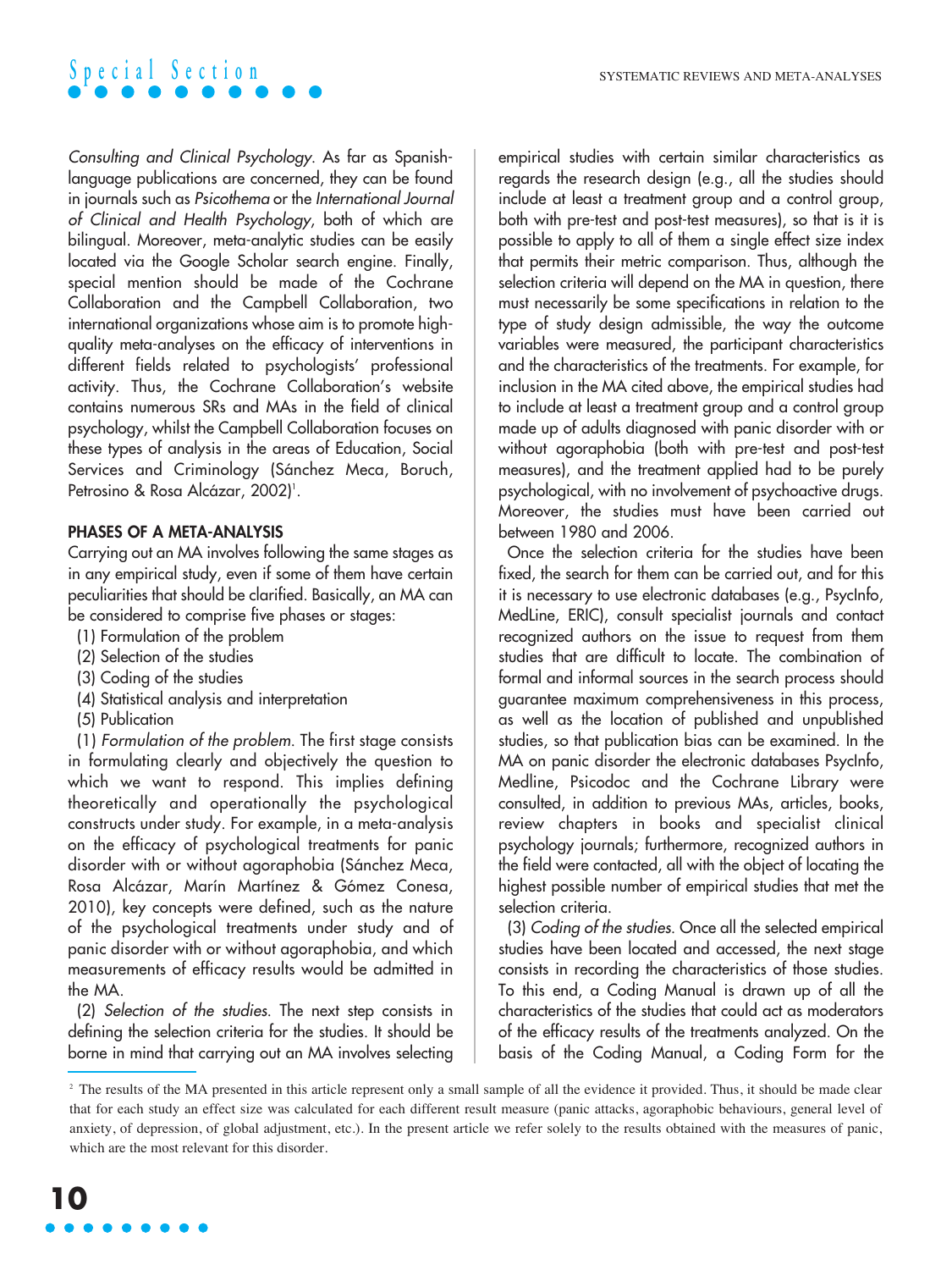

Consulting and Clinical Psychology. As far as Spanishlanguage publications are concerned, they can be found in journals such as Psicothema or the International Journal of Clinical and Health Psychology, both of which are bilingual. Moreover, meta-analytic studies can be easily located via the Google Scholar search engine. Finally, special mention should be made of the Cochrane Collaboration and the Campbell Collaboration, two international organizations whose aim is to promote highquality meta-analyses on the efficacy of interventions in different fields related to psychologists' professional activity. Thus, the Cochrane Collaboration's website contains numerous SRs and MAs in the field of clinical psychology, whilst the Campbell Collaboration focuses on these types of analysis in the areas of Education, Social Services and Criminology (Sánchez Meca, Boruch, Petrosino & Rosa Alcázar, 2002)'.

### **PHASES OF A META-ANALYSIS**

Carrying out an MA involves following the same stages as in any empirical study, even if some of them have certain peculiarities that should be clarified. Basically, an MA can be considered to comprise five phases or stages:

- (1) Formulation of the problem
- (2) Selection of the studies
- (3) Coding of the studies
- (4) Statistical analysis and interpretation
- (5) Publication

(1) Formulation of the problem. The first stage consists in formulating clearly and objectively the question to which we want to respond. This implies defining theoretically and operationally the psychological constructs under study. For example, in a meta-analysis on the efficacy of psychological treatments for panic disorder with or without agoraphobia (Sánchez Meca, Rosa Alcázar, Marín Martínez & Gómez Conesa, 2010), key concepts were defined, such as the nature of the psychological treatments under study and of panic disorder with or without agoraphobia, and which measurements of efficacy results would be admitted in the MA.

(2) Selection of the studies. The next step consists in defining the selection criteria for the studies. It should be borne in mind that carrying out an MA involves selecting

empirical studies with certain similar characteristics as regards the research design (e.g., all the studies should include at least a treatment group and a control group, both with pre-test and post-test measures), so that is it is possible to apply to all of them a single effect size index that permits their metric comparison. Thus, although the selection criteria will depend on the MA in question, there must necessarily be some specifications in relation to the type of study design admissible, the way the outcome variables were measured, the participant characteristics and the characteristics of the treatments. For example, for inclusion in the MA cited above, the empirical studies had to include at least a treatment group and a control group made up of adults diagnosed with panic disorder with or without agoraphobia (both with pre-test and post-test measures), and the treatment applied had to be purely psychological, with no involvement of psychoactive drugs. Moreover, the studies must have been carried out between 1980 and 2006.

Once the selection criteria for the studies have been fixed, the search for them can be carried out, and for this it is necessary to use electronic databases (e.g., PsycInfo, MedLine, ERIC), consult specialist journals and contact recognized authors on the issue to request from them studies that are difficult to locate. The combination of formal and informal sources in the search process should guarantee maximum comprehensiveness in this process, as well as the location of published and unpublished studies, so that publication bias can be examined. In the MA on panic disorder the electronic databases PsycInfo, Medline, Psicodoc and the Cochrane Library were consulted, in addition to previous MAs, articles, books, review chapters in books and specialist clinical psychology journals; furthermore, recognized authors in the field were contacted, all with the object of locating the highest possible number of empirical studies that met the selection criteria.

(3) Coding of the studies. Once all the selected empirical studies have been located and accessed, the next stage consists in recording the characteristics of those studies. To this end, a Coding Manual is drawn up of all the characteristics of the studies that could act as moderators of the efficacy results of the treatments analyzed. On the basis of the Coding Manual, a Coding Form for the

<sup>&</sup>lt;sup>2</sup> The results of the MA presented in this article represent only a small sample of all the evidence it provided. Thus, it should be made clear that for each study an effect size was calculated for each different result measure (panic attacks, agoraphobic behaviours, general level of anxiety, of depression, of global adjustment, etc.). In the present article we refer solely to the results obtained with the measures of panic, which are the most relevant for this disorder.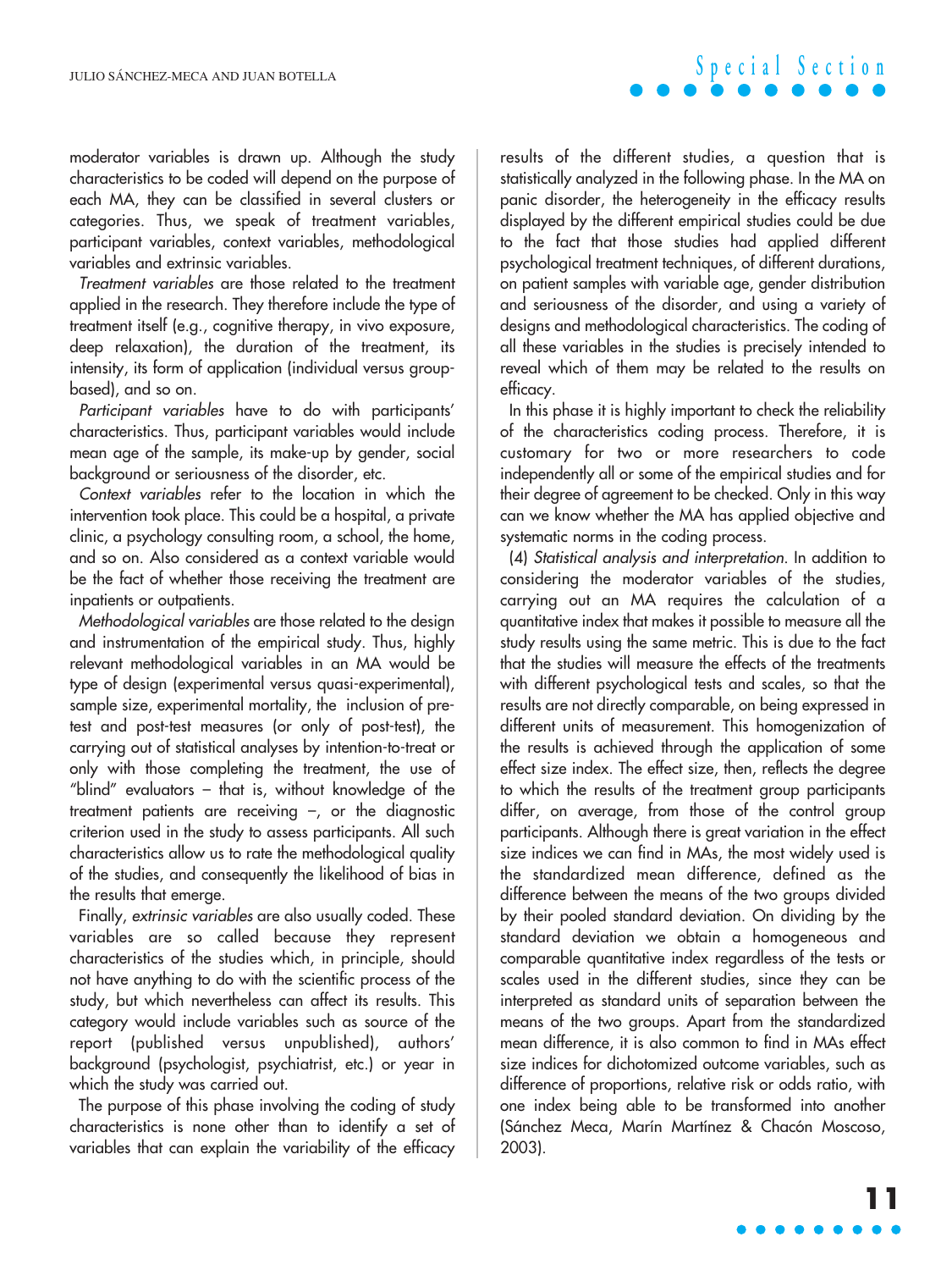moderator variables is drawn up. Although the study characteristics to be coded will depend on the purpose of each MA, they can be classified in several clusters or categories. Thus, we speak of treatment variables, participant variables, context variables, methodological variables and extrinsic variables.

Treatment variables are those related to the treatment applied in the research. They therefore include the type of treatment itself (e.g., cognitive therapy, in vivo exposure, deep relaxation), the duration of the treatment, its intensity, its form of application (individual versus groupbased), and so on.

Participant variables have to do with participants' characteristics. Thus, participant variables would include mean age of the sample, its make-up by gender, social background or seriousness of the disorder, etc.

Context variables refer to the location in which the intervention took place. This could be a hospital, a private clinic, a psychology consulting room, a school, the home, and so on. Also considered as a context variable would be the fact of whether those receiving the treatment are inpatients or outpatients.

Methodological variables are those related to the design and instrumentation of the empirical study. Thus, highly relevant methodological variables in an MA would be type of design (experimental versus quasi-experimental), sample size, experimental mortality, the inclusion of pretest and post-test measures (or only of post-test), the carrying out of statistical analyses by intention-to-treat or only with those completing the treatment, the use of "blind" evaluators – that is, without knowledge of the treatment patients are receiving  $-$ , or the diagnostic criterion used in the study to assess participants. All such characteristics allow us to rate the methodological quality of the studies, and consequently the likelihood of bias in the results that emerge.

Finally, extrinsic variables are also usually coded. These variables are so called because they represent characteristics of the studies which, in principle, should not have anything to do with the scientific process of the study, but which nevertheless can affect its results. This category would include variables such as source of the report (published versus unpublished), authors' background (psychologist, psychiatrist, etc.) or year in which the study was carried out.

The purpose of this phase involving the coding of study characteristics is none other than to identify a set of variables that can explain the variability of the efficacy

results of the different studies, a question that is statistically analyzed in the following phase. In the MA on panic disorder, the heterogeneity in the efficacy results displayed by the different empirical studies could be due to the fact that those studies had applied different psychological treatment techniques, of different durations, on patient samples with variable age, gender distribution and seriousness of the disorder, and using a variety of designs and methodological characteristics. The coding of all these variables in the studies is precisely intended to reveal which of them may be related to the results on efficacy.

**Special Section**

In this phase it is highly important to check the reliability of the characteristics coding process. Therefore, it is customary for two or more researchers to code independently all or some of the empirical studies and for their degree of agreement to be checked. Only in this way can we know whether the MA has applied objective and systematic norms in the coding process.

(4) Statistical analysis and interpretation. In addition to considering the moderator variables of the studies, carrying out an MA requires the calculation of a quantitative index that makes it possible to measure all the study results using the same metric. This is due to the fact that the studies will measure the effects of the treatments with different psychological tests and scales, so that the results are not directly comparable, on being expressed in different units of measurement. This homogenization of the results is achieved through the application of some effect size index. The effect size, then, reflects the degree to which the results of the treatment group participants differ, on average, from those of the control group participants. Although there is great variation in the effect size indices we can find in MAs, the most widely used is the standardized mean difference, defined as the difference between the means of the two groups divided by their pooled standard deviation. On dividing by the standard deviation we obtain a homogeneous and comparable quantitative index regardless of the tests or scales used in the different studies, since they can be interpreted as standard units of separation between the means of the two groups. Apart from the standardized mean difference, it is also common to find in MAs effect size indices for dichotomized outcome variables, such as difference of proportions, relative risk or odds ratio, with one index being able to be transformed into another (Sánchez Meca, Marín Martínez & Chacón Moscoso, 2003).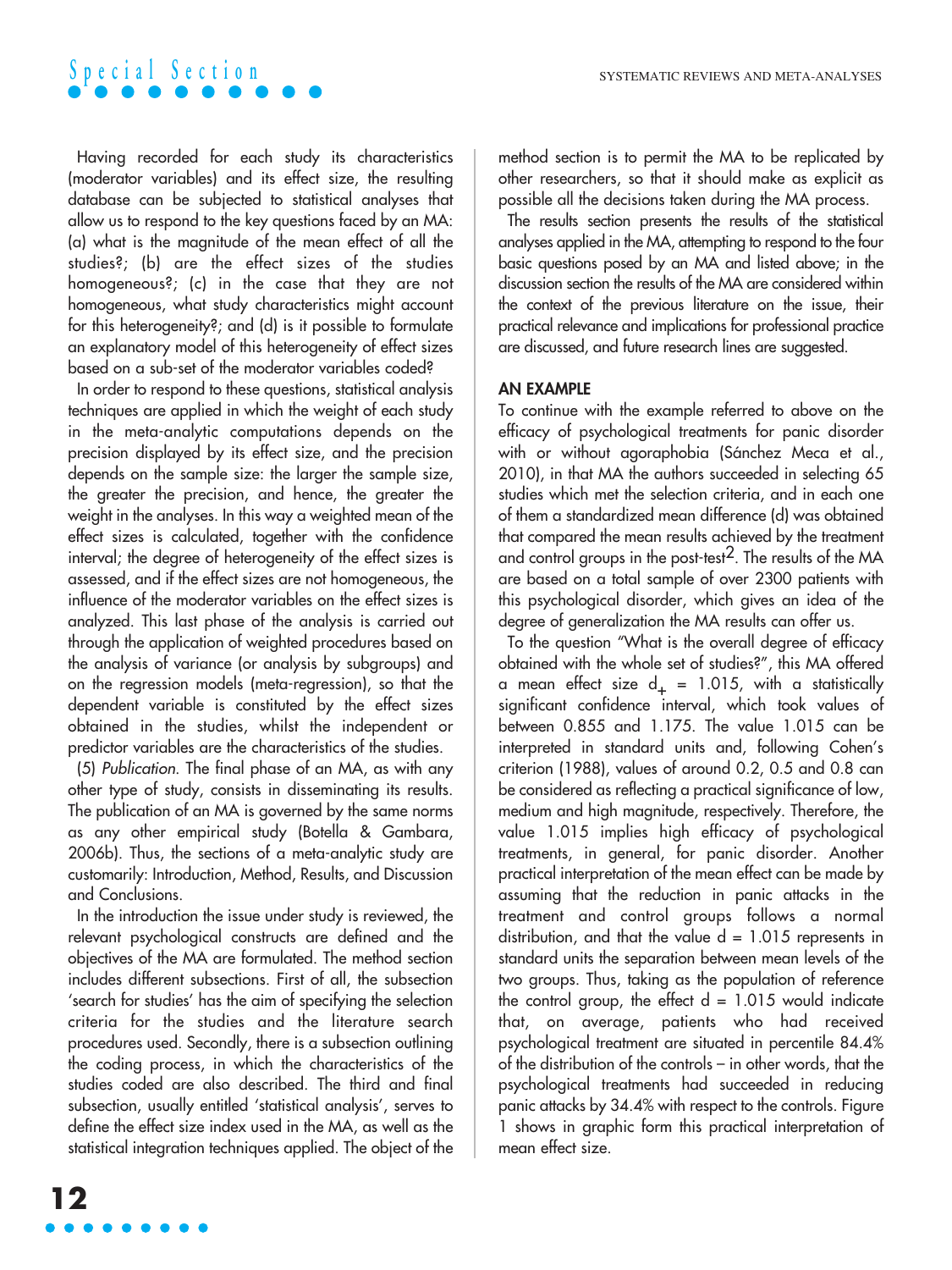Having recorded for each study its characteristics (moderator variables) and its effect size, the resulting database can be subjected to statistical analyses that allow us to respond to the key questions faced by an MA: (a) what is the magnitude of the mean effect of all the studies?; (b) are the effect sizes of the studies homogeneous?; (c) in the case that they are not homogeneous, what study characteristics might account for this heterogeneity?; and (d) is it possible to formulate an explanatory model of this heterogeneity of effect sizes based on a sub-set of the moderator variables coded?

In order to respond to these questions, statistical analysis techniques are applied in which the weight of each study in the meta-analytic computations depends on the precision displayed by its effect size, and the precision depends on the sample size: the larger the sample size, the greater the precision, and hence, the greater the weight in the analyses. In this way a weighted mean of the effect sizes is calculated, together with the confidence interval; the degree of heterogeneity of the effect sizes is assessed, and if the effect sizes are not homogeneous, the influence of the moderator variables on the effect sizes is analyzed. This last phase of the analysis is carried out through the application of weighted procedures based on the analysis of variance (or analysis by subgroups) and on the regression models (meta-regression), so that the dependent variable is constituted by the effect sizes obtained in the studies, whilst the independent or predictor variables are the characteristics of the studies.

(5) Publication. The final phase of an MA, as with any other type of study, consists in disseminating its results. The publication of an MA is governed by the same norms as any other empirical study (Botella & Gambara, 2006b). Thus, the sections of a meta-analytic study are customarily: Introduction, Method, Results, and Discussion and Conclusions.

In the introduction the issue under study is reviewed, the relevant psychological constructs are defined and the objectives of the MA are formulated. The method section includes different subsections. First of all, the subsection 'search for studies' has the aim of specifying the selection criteria for the studies and the literature search procedures used. Secondly, there is a subsection outlining the coding process, in which the characteristics of the studies coded are also described. The third and final subsection, usually entitled 'statistical analysis', serves to define the effect size index used in the MA, as well as the statistical integration techniques applied. The object of the method section is to permit the MA to be replicated by other researchers, so that it should make as explicit as possible all the decisions taken during the MA process.

The results section presents the results of the statistical analyses applied in the MA, attempting to respond to the four basic questions posed by an MA and listed above; in the discussion section the results of the MA are considered within the context of the previous literature on the issue, their practical relevance and implications for professional practice are discussed, and future research lines are suggested.

### **AN EXAMPLE**

To continue with the example referred to above on the efficacy of psychological treatments for panic disorder with or without agoraphobia (Sánchez Meca et al., 2010), in that MA the authors succeeded in selecting 65 studies which met the selection criteria, and in each one of them a standardized mean difference (d) was obtained that compared the mean results achieved by the treatment and control groups in the post-test2. The results of the MA are based on a total sample of over 2300 patients with this psychological disorder, which gives an idea of the degree of generalization the MA results can offer us.

To the question "What is the overall degree of efficacy obtained with the whole set of studies?", this MA offered a mean effect size  $d_+ = 1.015$ , with a statistically significant confidence interval, which took values of between 0.855 and 1.175. The value 1.015 can be interpreted in standard units and, following Cohen's criterion (1988), values of around 0.2, 0.5 and 0.8 can be considered as reflecting a practical significance of low, medium and high magnitude, respectively. Therefore, the value 1.015 implies high efficacy of psychological treatments, in general, for panic disorder. Another practical interpretation of the mean effect can be made by assuming that the reduction in panic attacks in the treatment and control groups follows a normal distribution, and that the value  $d = 1.015$  represents in standard units the separation between mean levels of the two groups. Thus, taking as the population of reference the control group, the effect  $d = 1.015$  would indicate that, on average, patients who had received psychological treatment are situated in percentile 84.4% of the distribution of the controls – in other words, that the psychological treatments had succeeded in reducing panic attacks by 34.4% with respect to the controls. Figure 1 shows in graphic form this practical interpretation of mean effect size.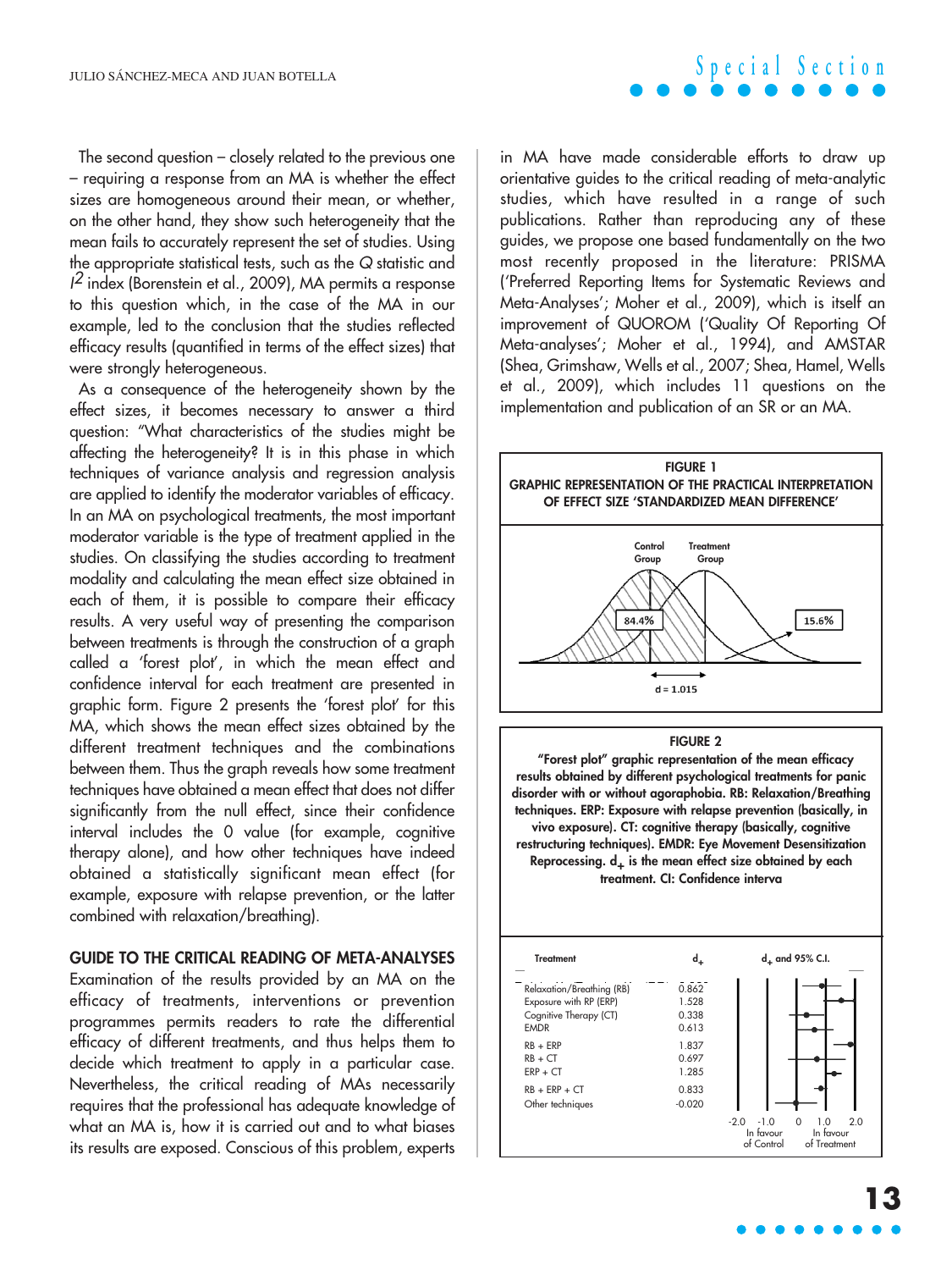The second question – closely related to the previous one – requiring a response from an MA is whether the effect sizes are homogeneous around their mean, or whether, on the other hand, they show such heterogeneity that the mean fails to accurately represent the set of studies. Using the appropriate statistical tests, such as the Q statistic and  $1^2$  index (Borenstein et al., 2009), MA permits a response to this question which, in the case of the MA in our example, led to the conclusion that the studies reflected efficacy results (quantified in terms of the effect sizes) that were strongly heterogeneous.

As a consequence of the heterogeneity shown by the effect sizes, it becomes necessary to answer a third question: "What characteristics of the studies might be affecting the heterogeneity? It is in this phase in which techniques of variance analysis and regression analysis are applied to identify the moderator variables of efficacy. In an MA on psychological treatments, the most important moderator variable is the type of treatment applied in the studies. On classifying the studies according to treatment modality and calculating the mean effect size obtained in each of them, it is possible to compare their efficacy results. A very useful way of presenting the comparison between treatments is through the construction of a graph called a 'forest plot', in which the mean effect and confidence interval for each treatment are presented in graphic form. Figure 2 presents the 'forest plot' for this MA, which shows the mean effect sizes obtained by the different treatment techniques and the combinations between them. Thus the graph reveals how some treatment techniques have obtained a mean effect that does not differ significantly from the null effect, since their confidence interval includes the 0 value (for example, cognitive therapy alone), and how other techniques have indeed obtained a statistically significant mean effect (for example, exposure with relapse prevention, or the latter combined with relaxation/breathing).

#### **GUIDE TO THE CRITICAL READING OF META-ANALYSES**

Examination of the results provided by an MA on the efficacy of treatments, interventions or prevention programmes permits readers to rate the differential efficacy of different treatments, and thus helps them to decide which treatment to apply in a particular case. Nevertheless, the critical reading of MAs necessarily requires that the professional has adequate knowledge of what an MA is, how it is carried out and to what biases its results are exposed. Conscious of this problem, experts

in MA have made considerable efforts to draw up orientative guides to the critical reading of meta-analytic studies, which have resulted in a range of such publications. Rather than reproducing any of these guides, we propose one based fundamentally on the two most recently proposed in the literature: PRISMA ('Preferred Reporting Items for Systematic Reviews and Meta-Analyses'; Moher et al., 2009), which is itself an improvement of QUOROM ('Quality Of Reporting Of Meta-analyses'; Moher et al., 1994), and AMSTAR (Shea, Grimshaw, Wells et al., 2007; Shea, Hamel, Wells et al., 2009), which includes 11 questions on the implementation and publication of an SR or an MA.

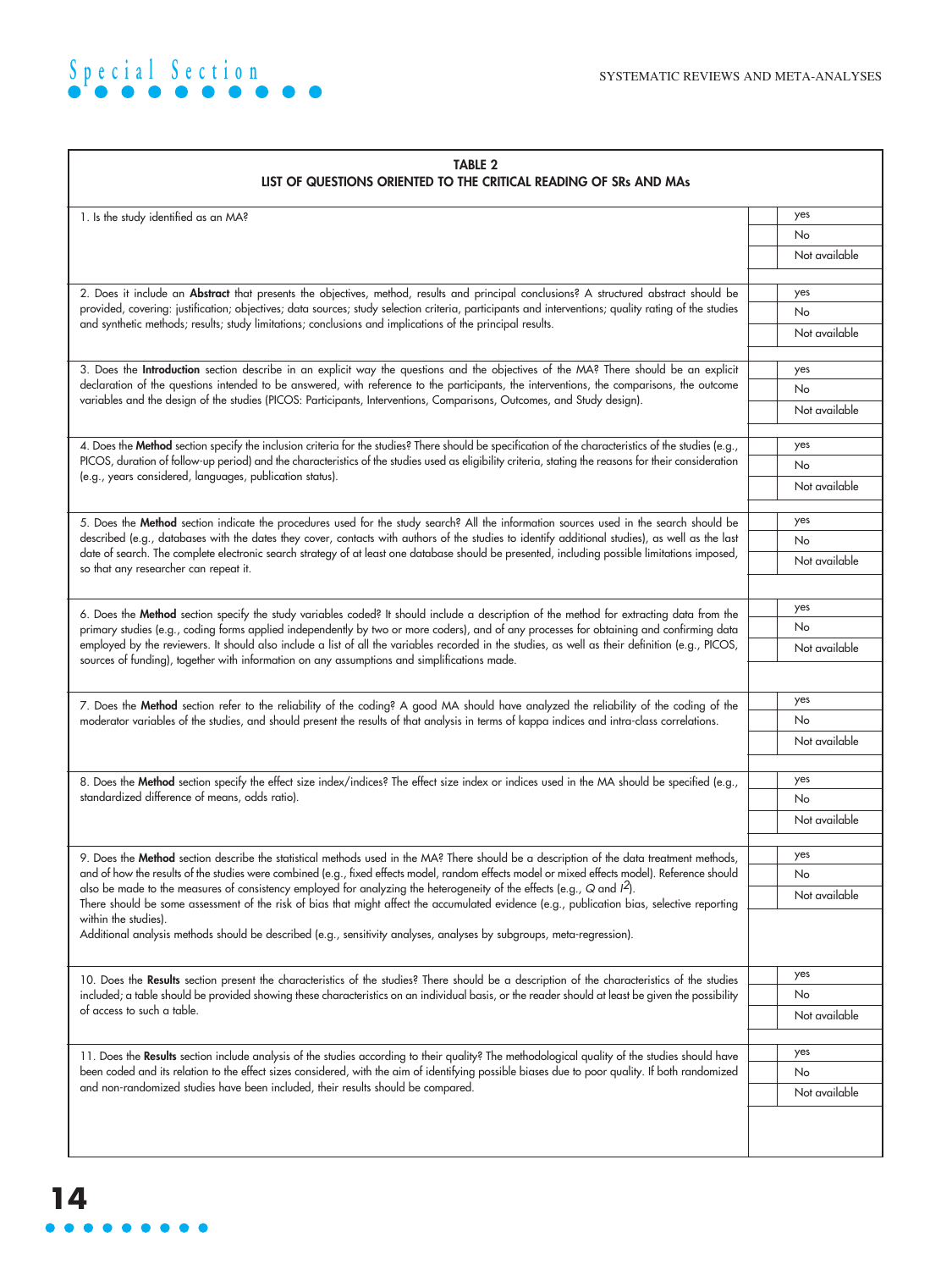

| <b>TABLE 2</b><br>LIST OF QUESTIONS ORIENTED TO THE CRITICAL READING OF SRs AND MAs                                                                                                                                                                                                  |               |  |
|--------------------------------------------------------------------------------------------------------------------------------------------------------------------------------------------------------------------------------------------------------------------------------------|---------------|--|
| 1. Is the study identified as an MA?                                                                                                                                                                                                                                                 | yes           |  |
|                                                                                                                                                                                                                                                                                      | No            |  |
|                                                                                                                                                                                                                                                                                      | Not available |  |
| 2. Does it include an Abstract that presents the objectives, method, results and principal conclusions? A structured abstract should be                                                                                                                                              | yes           |  |
| provided, covering: justification; objectives; data sources; study selection criteria, participants and interventions; quality rating of the studies                                                                                                                                 | No            |  |
| and synthetic methods; results; study limitations; conclusions and implications of the principal results.                                                                                                                                                                            | Not available |  |
|                                                                                                                                                                                                                                                                                      |               |  |
| 3. Does the Introduction section describe in an explicit way the questions and the objectives of the MA? There should be an explicit<br>declaration of the questions intended to be answered, with reference to the participants, the interventions, the comparisons, the outcome    | yes           |  |
| variables and the design of the studies (PICOS: Participants, Interventions, Comparisons, Outcomes, and Study design).                                                                                                                                                               | No            |  |
|                                                                                                                                                                                                                                                                                      | Not available |  |
| 4. Does the Method section specify the inclusion criteria for the studies? There should be specification of the characteristics of the studies (e.g.,                                                                                                                                | yes           |  |
| PICOS, duration of follow-up period) and the characteristics of the studies used as eligibility criteria, stating the reasons for their consideration                                                                                                                                | No            |  |
| (e.g., years considered, languages, publication status).                                                                                                                                                                                                                             | Not available |  |
| 5. Does the Method section indicate the procedures used for the study search? All the information sources used in the search should be                                                                                                                                               | yes           |  |
| described (e.g., databases with the dates they cover, contacts with authors of the studies to identify additional studies), as well as the last                                                                                                                                      | <b>No</b>     |  |
| date of search. The complete electronic search strategy of at least one database should be presented, including possible limitations imposed,                                                                                                                                        | Not available |  |
| so that any researcher can repeat it.                                                                                                                                                                                                                                                |               |  |
|                                                                                                                                                                                                                                                                                      | yes           |  |
| 6. Does the Method section specify the study variables coded? It should include a description of the method for extracting data from the<br>primary studies (e.g., coding forms applied independently by two or more coders), and of any processes for obtaining and confirming data | No            |  |
| employed by the reviewers. It should also include a list of all the variables recorded in the studies, as well as their definition (e.g., PICOS,                                                                                                                                     | Not available |  |
| sources of funding), together with information on any assumptions and simplifications made.                                                                                                                                                                                          |               |  |
| 7. Does the Method section refer to the reliability of the coding? A good MA should have analyzed the reliability of the coding of the                                                                                                                                               | yes           |  |
| moderator variables of the studies, and should present the results of that analysis in terms of kappa indices and intra-class correlations.                                                                                                                                          | No            |  |
|                                                                                                                                                                                                                                                                                      | Not available |  |
|                                                                                                                                                                                                                                                                                      |               |  |
| 8. Does the Method section specify the effect size index/indices? The effect size index or indices used in the MA should be specified (e.g.,                                                                                                                                         | yes           |  |
| standardized difference of means, odds ratio).                                                                                                                                                                                                                                       | No            |  |
|                                                                                                                                                                                                                                                                                      | Not available |  |
| 9. Does the Method section describe the statistical methods used in the MA? There should be a description of the data treatment methods,                                                                                                                                             | yes           |  |
| and of how the results of the studies were combined (e.g., fixed effects model, random effects model or mixed effects model). Reference should                                                                                                                                       | No            |  |
| also be made to the measures of consistency employed for analyzing the heterogeneity of the effects (e.g., Q and $l^2$ ).<br>There should be some assessment of the risk of bias that might affect the accumulated evidence (e.g., publication bias, selective reporting             | Not available |  |
| within the studies).<br>Additional analysis methods should be described (e.g., sensitivity analyses, analyses by subgroups, meta-regression).                                                                                                                                        |               |  |
|                                                                                                                                                                                                                                                                                      |               |  |
| 10. Does the Results section present the characteristics of the studies? There should be a description of the characteristics of the studies                                                                                                                                         | yes<br>No     |  |
| included; a table should be provided showing these characteristics on an individual basis, or the reader should at least be given the possibility<br>of access to such a table.                                                                                                      |               |  |
|                                                                                                                                                                                                                                                                                      | Not available |  |
| 11. Does the Results section include analysis of the studies according to their quality? The methodological quality of the studies should have                                                                                                                                       | yes           |  |
| been coded and its relation to the effect sizes considered, with the aim of identifying possible biases due to poor quality. If both randomized                                                                                                                                      | No            |  |
| and non-randomized studies have been included, their results should be compared.                                                                                                                                                                                                     | Not available |  |
|                                                                                                                                                                                                                                                                                      |               |  |
|                                                                                                                                                                                                                                                                                      |               |  |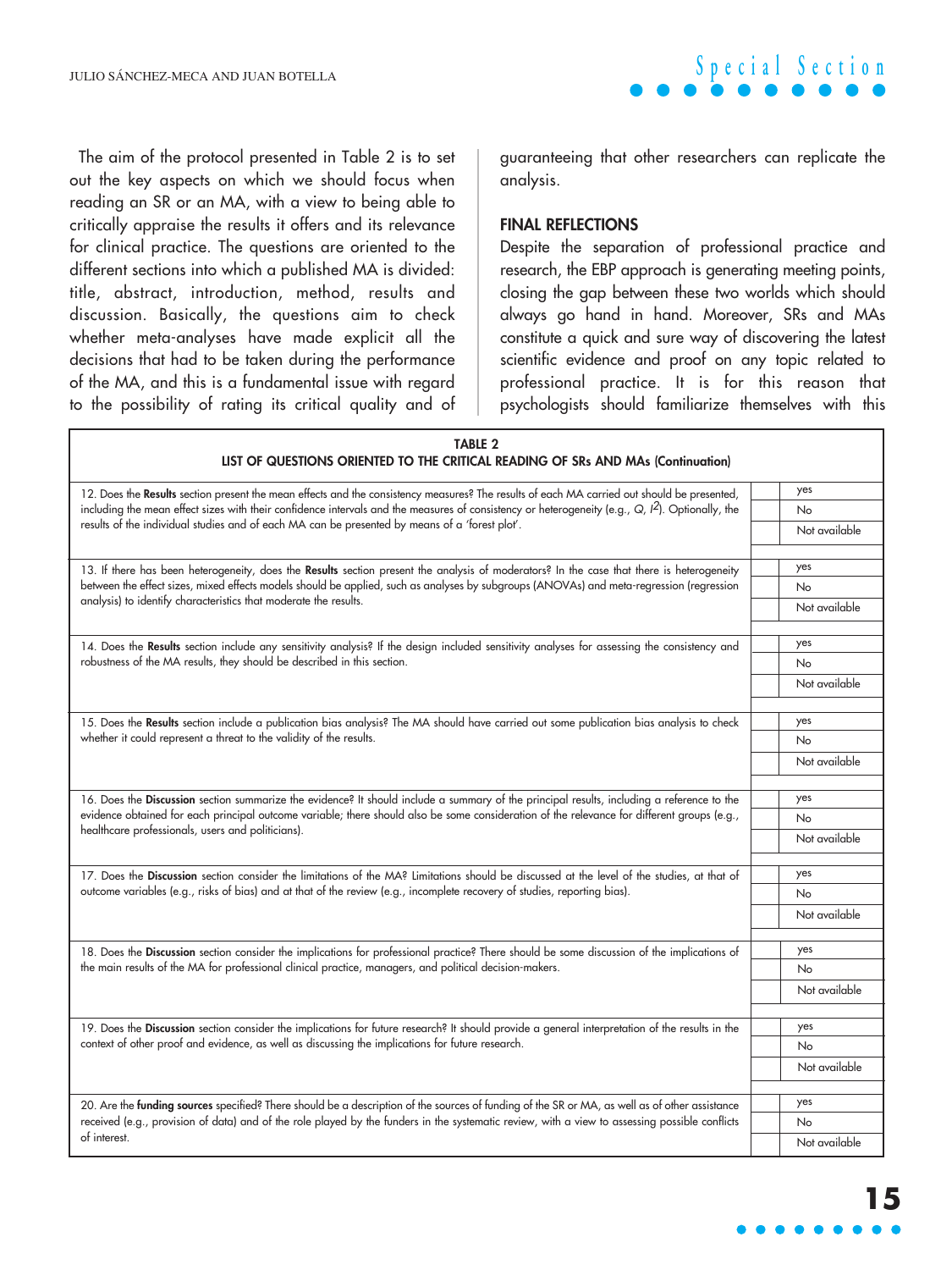

The aim of the protocol presented in Table 2 is to set out the key aspects on which we should focus when reading an SR or an MA, with a view to being able to critically appraise the results it offers and its relevance for clinical practice. The questions are oriented to the different sections into which a published MA is divided: title, abstract, introduction, method, results and discussion. Basically, the questions aim to check whether meta-analyses have made explicit all the decisions that had to be taken during the performance of the MA, and this is a fundamental issue with regard to the possibility of rating its critical quality and of

guaranteeing that other researchers can replicate the analysis.

#### **FINAL REFLECTIONS**

Despite the separation of professional practice and research, the EBP approach is generating meeting points, closing the gap between these two worlds which should always go hand in hand. Moreover, SRs and MAs constitute a quick and sure way of discovering the latest scientific evidence and proof on any topic related to professional practice. It is for this reason that psychologists should familiarize themselves with this

| <b>TABLE 2</b><br>LIST OF QUESTIONS ORIENTED TO THE CRITICAL READING OF SRs AND MAs (Continuation)                                                                                                                                                                                                                                                                                                      |               |  |
|---------------------------------------------------------------------------------------------------------------------------------------------------------------------------------------------------------------------------------------------------------------------------------------------------------------------------------------------------------------------------------------------------------|---------------|--|
| 12. Does the Results section present the mean effects and the consistency measures? The results of each MA carried out should be presented,<br>including the mean effect sizes with their confidence intervals and the measures of consistency or heterogeneity (e.g., $Q$ , $l^2$ ). Optionally, the<br>results of the individual studies and of each MA can be presented by means of a 'forest plot'. | yes           |  |
|                                                                                                                                                                                                                                                                                                                                                                                                         | No            |  |
|                                                                                                                                                                                                                                                                                                                                                                                                         | Not available |  |
| 13. If there has been heterogeneity, does the Results section present the analysis of moderators? In the case that there is heterogeneity<br>between the effect sizes, mixed effects models should be applied, such as analyses by subgroups (ANOVAs) and meta-regression (regression                                                                                                                   | yes           |  |
|                                                                                                                                                                                                                                                                                                                                                                                                         | No            |  |
| analysis) to identify characteristics that moderate the results.                                                                                                                                                                                                                                                                                                                                        | Not available |  |
| 14. Does the Results section include any sensitivity analysis? If the design included sensitivity analyses for assessing the consistency and<br>robustness of the MA results, they should be described in this section.                                                                                                                                                                                 | yes           |  |
|                                                                                                                                                                                                                                                                                                                                                                                                         | <b>No</b>     |  |
|                                                                                                                                                                                                                                                                                                                                                                                                         | Not available |  |
| 15. Does the Results section include a publication bias analysis? The MA should have carried out some publication bias analysis to check                                                                                                                                                                                                                                                                | yes           |  |
| whether it could represent a threat to the validity of the results.                                                                                                                                                                                                                                                                                                                                     | No            |  |
|                                                                                                                                                                                                                                                                                                                                                                                                         | Not available |  |
| 16. Does the Discussion section summarize the evidence? It should include a summary of the principal results, including a reference to the<br>evidence obtained for each principal outcome variable; there should also be some consideration of the relevance for different groups (e.g.,<br>healthcare professionals, users and politicians).                                                          | yes           |  |
|                                                                                                                                                                                                                                                                                                                                                                                                         | <b>No</b>     |  |
|                                                                                                                                                                                                                                                                                                                                                                                                         | Not available |  |
| 17. Does the Discussion section consider the limitations of the MA? Limitations should be discussed at the level of the studies, at that of                                                                                                                                                                                                                                                             | yes           |  |
| outcome variables (e.g., risks of bias) and at that of the review (e.g., incomplete recovery of studies, reporting bias).                                                                                                                                                                                                                                                                               | <b>No</b>     |  |
|                                                                                                                                                                                                                                                                                                                                                                                                         | Not available |  |
| 18. Does the Discussion section consider the implications for professional practice? There should be some discussion of the implications of<br>the main results of the MA for professional clinical practice, managers, and political decision-makers.                                                                                                                                                  | yes           |  |
|                                                                                                                                                                                                                                                                                                                                                                                                         | <b>No</b>     |  |
|                                                                                                                                                                                                                                                                                                                                                                                                         | Not available |  |
| 19. Does the Discussion section consider the implications for future research? It should provide a general interpretation of the results in the<br>context of other proof and evidence, as well as discussing the implications for future research.                                                                                                                                                     | yes           |  |
|                                                                                                                                                                                                                                                                                                                                                                                                         | <b>No</b>     |  |
|                                                                                                                                                                                                                                                                                                                                                                                                         | Not available |  |
| 20. Are the funding sources specified? There should be a description of the sources of funding of the SR or MA, as well as of other assistance                                                                                                                                                                                                                                                          | yes           |  |
| received (e.g., provision of data) and of the role played by the funders in the systematic review, with a view to assessing possible conflicts<br>of interest.                                                                                                                                                                                                                                          | <b>No</b>     |  |
|                                                                                                                                                                                                                                                                                                                                                                                                         | Not available |  |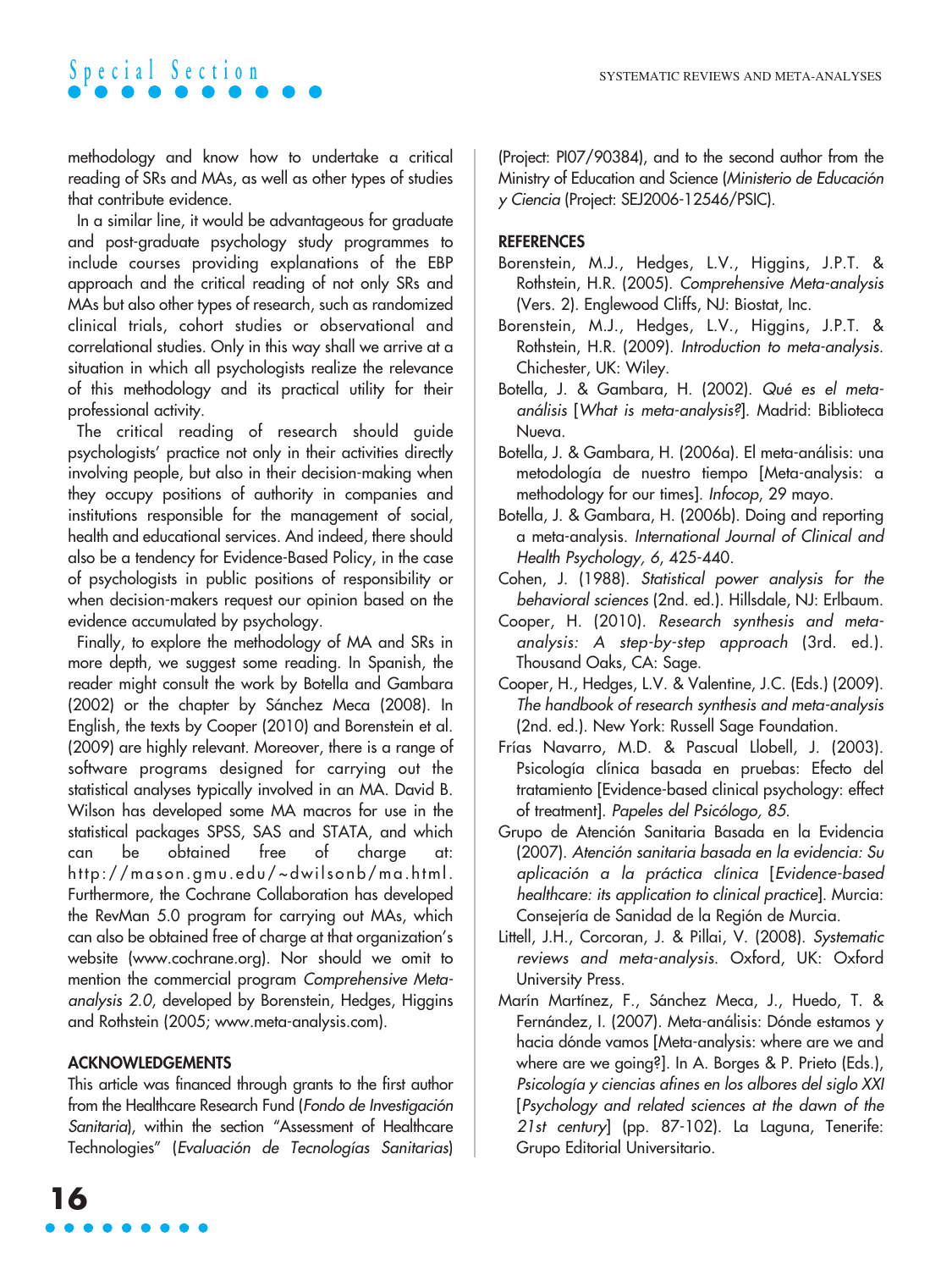methodology and know how to undertake a critical reading of SRs and MAs, as well as other types of studies that contribute evidence.

In a similar line, it would be advantageous for graduate and post-graduate psychology study programmes to include courses providing explanations of the EBP approach and the critical reading of not only SRs and MAs but also other types of research, such as randomized clinical trials, cohort studies or observational and correlational studies. Only in this way shall we arrive at a situation in which all psychologists realize the relevance of this methodology and its practical utility for their professional activity.

The critical reading of research should guide psychologists' practice not only in their activities directly involving people, but also in their decision-making when they occupy positions of authority in companies and institutions responsible for the management of social, health and educational services. And indeed, there should also be a tendency for Evidence-Based Policy, in the case of psychologists in public positions of responsibility or when decision-makers request our opinion based on the evidence accumulated by psychology.

Finally, to explore the methodology of MA and SRs in more depth, we suggest some reading. In Spanish, the reader might consult the work by Botella and Gambara (2002) or the chapter by Sánchez Meca (2008). In English, the texts by Cooper (2010) and Borenstein et al. (2009) are highly relevant. Moreover, there is a range of software programs designed for carrying out the statistical analyses typically involved in an MA. David B. Wilson has developed some MA macros for use in the statistical packages SPSS, SAS and STATA, and which can be obtained free of charge at: http://mason.gmu.edu/~dwilsonb/ma.html. Furthermore, the Cochrane Collaboration has developed the RevMan 5.0 program for carrying out MAs, which can also be obtained free of charge at that organization's website (www.cochrane.org). Nor should we omit to mention the commercial program Comprehensive Metaanalysis 2.0, developed by Borenstein, Hedges, Higgins and Rothstein (2005; www.meta-analysis.com).

### **ACKNOWLEDGEMENTS**

This article was financed through grants to the first author from the Healthcare Research Fund (Fondo de Investigación Sanitaria), within the section "Assessment of Healthcare Technologies" (Evaluación de Tecnologías Sanitarias) (Project: PI07/90384), and to the second author from the Ministry of Education and Science (Ministerio de Educación y Ciencia (Project: SEJ2006-12546/PSIC).

### **REFERENCES**

- Borenstein, M.J., Hedges, L.V., Higgins, J.P.T. & Rothstein, H.R. (2005). Comprehensive Meta-analysis (Vers. 2). Englewood Cliffs, NJ: Biostat, Inc.
- Borenstein, M.J., Hedges, L.V., Higgins, J.P.T. & Rothstein, H.R. (2009). Introduction to meta-analysis. Chichester, UK: Wiley.
- Botella, J. & Gambara, H. (2002). Qué es el metaanálisis [What is meta-analysis?]. Madrid: Biblioteca Nueva.
- Botella, J. & Gambara, H. (2006a). El meta-análisis: una metodología de nuestro tiempo [Meta-analysis: a methodology for our times]. Infocop, 29 mayo.
- Botella, J. & Gambara, H. (2006b). Doing and reporting a meta-analysis. International Journal of Clinical and Health Psychology, 6, 425-440.
- Cohen, J. (1988). Statistical power analysis for the behavioral sciences (2nd. ed.). Hillsdale, NJ: Erlbaum.
- Cooper, H. (2010). Research synthesis and metaanalysis: A step-by-step approach (3rd. ed.). Thousand Oaks, CA: Sage.
- Cooper, H., Hedges, L.V. & Valentine, J.C. (Eds.) (2009). The handbook of research synthesis and meta-analysis (2nd. ed.). New York: Russell Sage Foundation.
- Frías Navarro, M.D. & Pascual Llobell, J. (2003). Psicología clínica basada en pruebas: Efecto del tratamiento [Evidence-based clinical psychology: effect of treatment]. Papeles del Psicólogo, 85.
- Grupo de Atención Sanitaria Basada en la Evidencia (2007). Atención sanitaria basada en la evidencia: Su aplicación a la práctica clínica [Evidence-based healthcare: its application to clinical practice]. Murcia: Consejería de Sanidad de la Región de Murcia.
- Littell, J.H., Corcoran, J. & Pillai, V. (2008). Systematic reviews and meta-analysis. Oxford, UK: Oxford University Press.
- Marín Martínez, F., Sánchez Meca, J., Huedo, T. & Fernández, I. (2007). Meta-análisis: Dónde estamos y hacia dónde vamos [Meta-analysis: where are we and where are we going?]. In A. Borges & P. Prieto (Eds.), Psicología y ciencias afines en los albores del siglo XXI [Psychology and related sciences at the dawn of the 21st century] (pp. 87-102). La Laguna, Tenerife: Grupo Editorial Universitario.